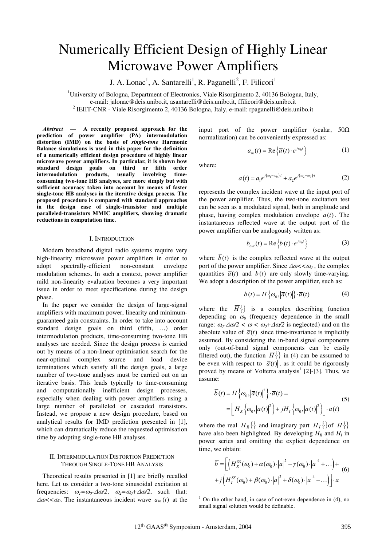# Numerically Efficient Design of Highly Linear Microwave Power Amplifiers

J. A. Lonac<sup>1</sup>, A. Santarelli<sup>1</sup>, R. Paganelli<sup>2</sup>, F. Filicori<sup>1</sup>

<sup>1</sup>University of Bologna, Department of Electronics, Viale Risorgimento 2, 40136 Bologna, Italy,

e-mail: jalonac@deis.unibo.it, asantarelli@deis.unibo.it, ffilicori@deis.unibo.it <sup>2</sup>

<sup>2</sup> IEIIT-CNR - Viale Risorgimento 2, 40136 Bologna, Italy, e-mail: rpaganelli@deis.unibo.it

*Abstract* **— A recently proposed approach for the prediction of power amplifier (PA) intermodulation distortion (IMD) on the basis of** *single-tone* **Harmonic Balance simulations is used in this paper for the definition of a numerically efficient design procedure of highly linear microwave power amplifiers. In particular, it is shown how standard design goals on third or fifth order intermodulation products, usually involving timeconsuming two-tone HB analyses, are more simply but with sufficient accuracy taken into account by means of faster single-tone HB analyses in the iterative design process. The proposed procedure is compared with standard approaches in the design case of single-transistor and multiple paralleled-transistors MMIC amplifiers, showing dramatic reductions in computation time.**

#### I. INTRODUCTION

Modern broadband digital radio systems require very high-linearity microwave power amplifiers in order to adopt spectrally-efficient non-constant envelope modulation schemes. In such a context, power amplifier mild non-linearity evaluation becomes a very important issue in order to meet specifications during the design phase.

In the paper we consider the design of large-signal amplifiers with maximum power, linearity and minimumguaranteed gain constraints. In order to take into account standard design goals on third (fifth, …) order intermodulation products, time-consuming two-tone HB analyses are needed. Since the design process is carried out by means of a non-linear optimisation search for the near-optimal complex source and load device terminations which satisfy all the design goals, a large number of two-tone analyses must be carried out on an iterative basis. This leads typically to time-consuming and computationally inefficient design processes, especially when dealing with power amplifiers using a large number of paralleled or cascaded transistors. Instead, we propose a new design procedure, based on analytical results for IMD prediction presented in [1], which can dramatically reduce the requested optimisation time by adopting single-tone HB analyses.

## II. INTERMODULATION DISTORTION PREDICTION THROUGH SINGLE-TONE HB ANALYSIS

Theoretical results presented in [1] are briefly recalled here. Let us consider a two-tone sinusoidal excitation at frequencies:  $\omega_1 = \omega_0 \Delta \omega / 2$ ,  $\omega_2 = \omega_0 + \Delta \omega / 2$ , such that:  $\Delta \omega < \omega_0$ . The instantaneous incident wave  $a_{in}(t)$  at the

input port of the power amplifier (scalar,  $50\Omega$ ) normalization) can be conveniently expressed as:

$$
a_{in}(t) = \text{Re}\left\{\overline{a}(t) \cdot e^{j\omega_0 t}\right\} \tag{1}
$$

where:

$$
\overline{a}(t) = \overline{a}_1 e^{j(\omega_1 - \omega_0)t} + \overline{a}_2 e^{j(\omega_2 - \omega_0)t}
$$
 (2)

represents the complex incident wave at the input port of the power amplifier. Thus, the two-tone excitation test can be seen as a modulated signal, both in amplitude and phase, having complex modulation envelope  $\overline{a}(t)$ . The instantaneous reflected wave at the output port of the power amplifier can be analogously written as:

$$
b_{out}(t) = \text{Re}\left\{\overline{b}(t) \cdot e^{j\omega_0 t}\right\} \tag{3}
$$

where  $\overline{b}(t)$  is the complex reflected wave at the output port of the power amplifier. Since  $\Delta \omega < \omega_0$ , the complex quantities  $\overline{a}(t)$  and  $\overline{b}(t)$  are only slowly time-varying. We adopt a description of the power amplifier, such as:

$$
\overline{b}(t) = \overline{H}\left\{\omega_0, |\overline{a}(t)|\right\} \cdot \overline{a}(t) \tag{4}
$$

where the  $\overline{H}^{\{.\}}$  is a complex describing function depending on  $\omega_0$  (frequency dependence in the small range:  $\omega_0$ - $\Delta \omega/2 < \omega < \omega_0 + \Delta \omega/2$  is neglected) and on the absolute value of  $\overline{a}(t)$  since time-invariance is implicitly assumed. By considering the in-band signal components only (out-of-band signal components can be easily filtered out), the function  $\overline{H}^{\{\}\}\$ in (4) can be assumed to be even with respect to  $|\overline{a}(t)|$ , as it could be rigorously proved by means of Volterra analysis<sup>1</sup> [2]-[3]. Thus, we assume:

$$
\overline{b}(t) = \overline{H}\left\{\omega_0, \left|\overline{a}(t)\right|^2\right\} \cdot \overline{a}(t) =
$$
\n
$$
= \left[H_R\left\{\omega_0, \left|\overline{a}(t)\right|^2\right\} + jH_I\left\{\omega_0, \left|\overline{a}(t)\right|^2\right\}\right] \cdot \overline{a}(t)
$$
\n(5)

where the real  $H_R \{\}$  and imaginary part  $H_I \{\}$  of  $\overline{H} \{\}$ have also been highlighted. By developing  $H_R$  and  $H_I$  in power series and omitting the explicit dependence on time, we obtain:

$$
\overline{b} = \left[ \left( H_R^{SS}(\omega_0) + \alpha(\omega_0) \cdot |\overline{a}|^2 + \gamma(\omega_0) \cdot |\overline{a}|^4 + \ldots \right) + \right] (6)
$$
  
+  $j \left( H_I^{SS}(\omega_0) + \beta(\omega_0) \cdot |\overline{a}|^2 + \delta(\omega_0) \cdot |\overline{a}|^4 + \ldots \right) \right] \cdot \overline{a}$ 

<sup>1</sup> On the other hand, in case of not-even dependence in (4), no small signal solution would be definable.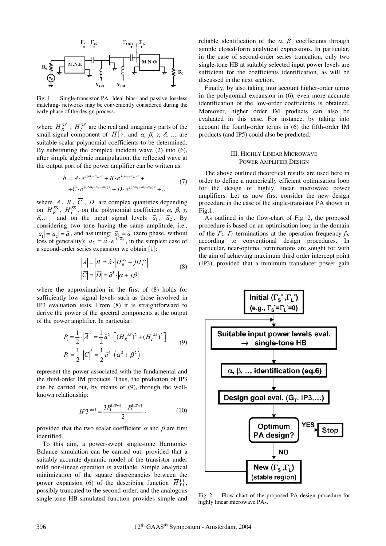

Fig. 1. Single-transistor PA. Ideal bias- and passive lossless matching- networks may be conveniently considered during the early phase of the design process.

where  $H_R^{SS}$ ,  $H_I^{SS}$  are the real and imaginary parts of the small-signal component of  $H^1_{\{\cdot\}}$ , and  $\alpha$ ,  $\beta$ ,  $\gamma$ ,  $\delta$ , ... are suitable scalar polynomial coefficients to be determined. By substituting the complex incident wave (2) into (6), after simple algebraic manipulation, the reflected wave at the output port of the power amplifier can be written as:

$$
\overline{b} = \overline{A} \cdot e^{j(\omega_1 - \omega_0)t} + \overline{B} \cdot e^{j(\omega_2 - \omega_0)t} + \n+ \overline{C} \cdot e^{j(2\omega_1 - \omega_2 - \omega_0)t} + \overline{D} \cdot e^{j(2\omega_2 - \omega_1 - \omega_0)t} + ...
$$
\n(7)

where  $\overline{A}$ ,  $\overline{B}$ ,  $\overline{C}$ ,  $\overline{D}$  are complex quantities depending on  $H_R^{SS}$ ,  $H_I^{SS}$ , on the polynomial coefficients  $\alpha$ ,  $\beta$ ,  $\gamma$ ,  $\delta$ ... and on the input signal levels  $\overline{a}_1$ ,  $\overline{a}_2$ . By considering two tone having the same amplitude, i.e.,  $|\overline{a}_1| = |\overline{a}_2| = \hat{a}$ , and assuming:  $\overline{a}_1 = \hat{a}$  (zero phase, without loss of generality);  $\overline{a}_2 = \hat{a} \cdot e^{j \angle \overline{a}_2}$ , in the simplest case of a second-order series expansion we obtain [1]:

$$
\left|\overline{A}\right| = \left|\overline{B}\right| \cong \hat{a} \cdot \left|H_k^{SS} + jH_l^{SS}\right|
$$
  

$$
\left|\overline{C}\right| = \left|\overline{D}\right| = \hat{a}^3 \cdot \left|\alpha + j\beta\right|
$$
 (8)

where the approximation in the first of (8) holds for sufficiently low signal levels such as those involved in IP3 evaluation tests. From (8) it is straightforward to derive the power of the spectral components at the output of the power amplifier. In particular:

$$
P_1 = \frac{1}{2} \cdot |\overline{A}|^2 = \frac{1}{2} \hat{a}^2 \cdot \left[ (H_k^{SS})^2 + (H_l^{SS})^2 \right]
$$
  
\n
$$
P_3 = \frac{1}{2} \cdot |\overline{C}|^2 = \frac{1}{2} \hat{a}^6 \cdot (\alpha^2 + \beta^2)
$$
 (9)

represent the power associated with the fundamental and the third-order IM products. Thus, the prediction of IP3 can be carried out, by means of (9), through the wellknown relationship:

$$
IP3^{[dB]} = \frac{3P_1^{[dBm]} - P_3^{[dBm]}}{2},\tag{10}
$$

provided that the two scalar coefficient  $\alpha$  and  $\beta$  are first identified.

To this aim, a power-swept single-tone Harmonic-Balance simulation can be carried out, provided that a suitably accurate dynamic model of the transistor under mild non-linear operation is available. Simple analytical minimization of the square discrepancies between the power expansion (6) of the describing function  $\overline{H}^{\{.\}}$ , possibly truncated to the second-order, and the analogous single-tone HB-simulated function provides simple and reliable identification of the  $\alpha$ ,  $\beta$  coefficients through simple closed-form analytical expressions. In particular, in the case of second-order series truncation, only two single-tone HB at suitably selected input power levels are sufficient for the coefficients identification, as will be discussed in the next section.

Finally, by also taking into account higher-order terms in the polynomial expansion in (6), even more accurate identification of the low-order coefficients is obtained. Moreover, higher order IM products can also be evaluated in this case. For instance, by taking into account the fourth-order terms in (6) the fifth-order IM products (and IP5) could also be predicted.

#### III. HIGHLY LINEAR MICROWAVE POWER AMPLIFIER DESIGN

The above outlined theoretical results are used here in order to define a numerically efficient optimisation loop for the design of highly linear microwave power amplifiers. Let us now first consider the new design procedure in the case of the single-transistor PA shown in Fig.1.

As outlined in the flow-chart of Fig. 2, the proposed procedure is based on an optimisation loop in the domain of the  $\Gamma$ <sub>S</sub>,  $\Gamma$ <sub>L</sub> terminations at the operation frequency  $f_0$ , according to conventional design procedures. In particular, near-optimal terminations are sought for with the aim of achieving maximum third order intercept point (IP3), provided that a minimum transducer power gain



Fig. 2. Flow chart of the proposed PA design procedure for highly linear microwave PAs.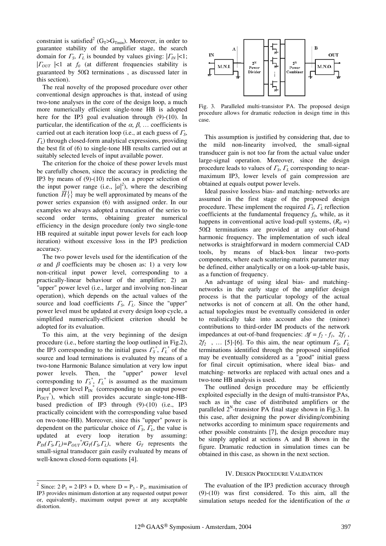constraint is satisfied<sup>2</sup> (G<sub>T</sub>>G<sub>Tmin</sub>). Moreover, in order to guarantee stability of the amplifier stage, the search domain for  $\Gamma_s$ ,  $\Gamma_l$  is bounded by values giving:  $|\Gamma_l| < 1$ ;  $|F_{OUT}|<1$  at  $f_0$  (at different frequencies stability is guaranteed by  $50\Omega$  terminations, as discussed later in this section).

The real novelty of the proposed procedure over other conventional design approaches is that, instead of using two-tone analyses in the core of the design loop, a much more numerically efficient single-tone HB is adopted here for the IP3 goal evaluation through (9)-(10). In particular, the identification of the  $\alpha$ ,  $\beta$ , ... coefficients is carried out at each iteration loop (i.e., at each guess of  $\Gamma_{\rm S}$ ,  $L_L$ ) through closed-form analytical expressions, providing the best fit of (6) to single-tone HB results carried out at suitably selected levels of input available power.

The criterion for the choice of these power levels must be carefully chosen, since the accuracy in predicting the IP3 by means of (9)-(10) relies on a proper selection of the input power range (i.e.,  $|a|^2$ ), where the describing function  $\overline{H}^{\{.\}}$  may be well approximated by means of the power series expansion (6) with assigned order. In our examples we always adopted a truncation of the series to second order terms, obtaining greater numerical efficiency in the design procedure (only two single-tone HB required at suitable input power levels for each loop iteration) without excessive loss in the IP3 prediction accuracy.

The two power levels used for the identification of the  $\alpha$  and  $\beta$  coefficients may be chosen as: 1) a very low non-critical input power level, corresponding to a practically-linear behaviour of the amplifier; 2) an "upper" power level (i.e., larger and involving non-linear operation), which depends on the actual values of the source and load coefficients  $\Gamma<sub>S</sub>$ ,  $\Gamma<sub>L</sub>$ . Since the "upper" power level must be updated at every design loop cycle, a simplified numerically-efficient criterion should be adopted for its evaluation.

To this aim, at the very beginning of the design procedure (i.e., before starting the loop outlined in Fig.2), the IP3 corresponding to the initial guess  $\overline{F_s}^*$ ,  $\overline{F_t}^*$  of the source and load terminations is evaluated by means of a two-tone Harmonic Balance simulation at very low input power levels. Then, the "upper" power level corresponding to  $\Gamma_s^*$ ,  $\Gamma_t^*$  is assumed as the maximum input power level  $P_{IN}^*$  (corresponding to an output power  $P_{\text{OUT}}^*$ ), which still provides accurate single-tone-HBbased prediction of IP3 through (9)-(10) (i.e., IP3 practically coincident with the corresponding value based on two-tone-HB). Moreover, since this "upper" power is dependent on the particular choice of  $\Gamma<sub>S</sub>, \Gamma<sub>L</sub>$ , the value is updated at every loop iteration by assuming:  $P_{IN}(F_{S}, F_{L})=P_{OUT}^{*}/G_{T}(F_{S}, F_{L})$ , where  $G_{T}$  represents the small-signal transducer gain easily evaluated by means of well-known closed-form equations [4].



Fig. 3. Paralleled multi-transistor PA. The proposed design procedure allows for dramatic reduction in design time in this case.

This assumption is justified by considering that, due to the mild non-linearity involved, the small-signal transducer gain is not too far from the actual value under large-signal operation. Moreover, since the design procedure leads to values of  $\Gamma_s$ ,  $\Gamma_l$  corresponding to nearmaximum IP3, lower levels of gain compression are obtained at equals output power levels.

Ideal passive lossless bias- and matching- networks are assumed in the first stage of the proposed design procedure. These implement the required  $\Gamma_{\rm S}$ ,  $\Gamma_{\rm L}$  reflection coefficients at the fundamental frequency  $f_0$ , while, as it happens in conventional active load-pull systems,  $(R<sub>0</sub> =)$  $50\Omega$  terminations are provided at any out-of-band harmonic frequency. The implementation of such ideal networks is straightforward in modern commercial CAD tools, by means of black-box linear two-ports components, where each scattering-matrix parameter may be defined, either analytically or on a look-up-table basis, as a function of frequency.

An advantage of using ideal bias- and matchingnetworks in the early stage of the amplifier design process is that the particular topology of the actual networks is not of concern at all. On the other hand, actual topologies must be eventually considered in order to realistically take into account also the (minor) contributions to third-order IM products of the network impedances at out-of-band frequencies:  $\Delta f = f_2 - f_1$ ,  $2f_1$ ,  $2f_2$ , ... [5]-[6]. To this aim, the near optimum  $\Gamma_s$ ,  $\Gamma_l$ terminations identified through the proposed simplified may be eventually considered as a "good" initial guess for final circuit optimisation, where ideal bias- and matching- networks are replaced with actual ones and a two-tone HB analysis is used.

The outlined design procedure may be efficiently exploited especially in the design of multi-transistor PAs, such as in the case of distributed amplifiers or the paralleled  $2<sup>N</sup>$ -transistor PA final stage shown in Fig.3. In this case, after designing the power dividing/combining networks according to minimum space requirements and other possible constraints [7], the design procedure may be simply applied at sections A and B shown in the figure. Dramatic reduction in simulation times can be obtained in this case, as shown in the next section.

#### IV. DESIGN PROCEDURE VALIDATION

The evaluation of the IP3 prediction accuracy through (9)-(10) was first considered. To this aim, all the simulation setups needed for the identification of the  $\alpha$ 

<sup>&</sup>lt;sup>2</sup> Since:  $2 \cdot P_1 = 2 \cdot IP_1 + D$ , where  $D = P_3 - P_1$ , maximisation of IP3 provides minimum distortion at any requested output power or, equivalently, maximum output power at any acceptable distortion.